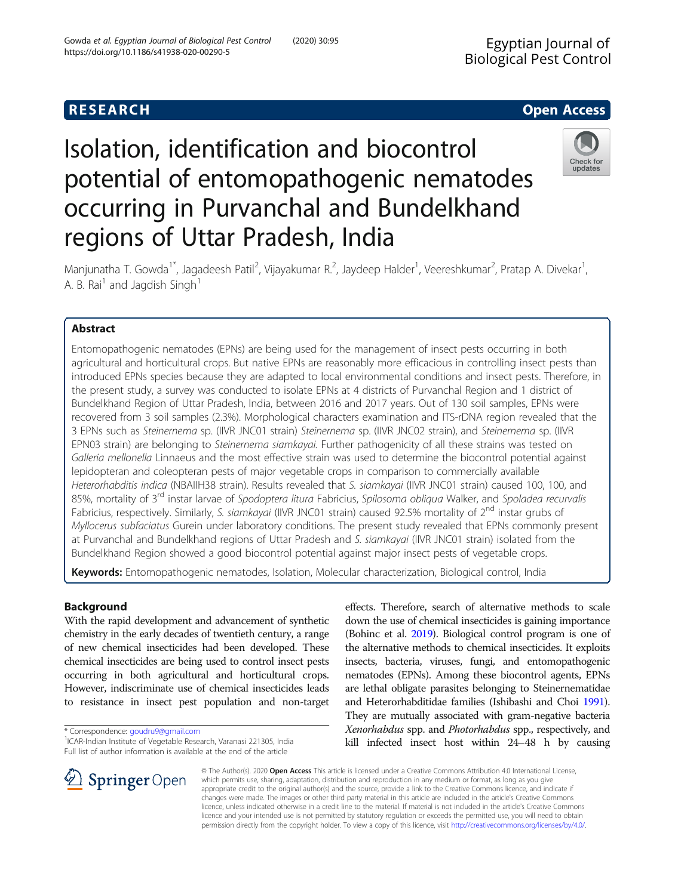# **RESEARCH CHE Open Access**

# Isolation, identification and biocontrol potential of entomopathogenic nematodes occurring in Purvanchal and Bundelkhand regions of Uttar Pradesh, India



Manjunatha T. Gowda<sup>1\*</sup>, Jagadeesh Patil<sup>2</sup>, Vijayakumar R.<sup>2</sup>, Jaydeep Halder<sup>1</sup>, Veereshkumar<sup>2</sup>, Pratap A. Divekar<sup>1</sup> , A. B. Rai<sup>1</sup> and Jagdish Singh<sup>1</sup>

# Abstract

Entomopathogenic nematodes (EPNs) are being used for the management of insect pests occurring in both agricultural and horticultural crops. But native EPNs are reasonably more efficacious in controlling insect pests than introduced EPNs species because they are adapted to local environmental conditions and insect pests. Therefore, in the present study, a survey was conducted to isolate EPNs at 4 districts of Purvanchal Region and 1 district of Bundelkhand Region of Uttar Pradesh, India, between 2016 and 2017 years. Out of 130 soil samples, EPNs were recovered from 3 soil samples (2.3%). Morphological characters examination and ITS-rDNA region revealed that the 3 EPNs such as Steinernema sp. (IIVR JNC01 strain) Steinernema sp. (IIVR JNC02 strain), and Steinernema sp. (IIVR EPN03 strain) are belonging to Steinernema siamkayai. Further pathogenicity of all these strains was tested on Galleria mellonella Linnaeus and the most effective strain was used to determine the biocontrol potential against lepidopteran and coleopteran pests of major vegetable crops in comparison to commercially available Heterorhabditis indica (NBAIIH38 strain). Results revealed that S. siamkayai (IIVR JNC01 strain) caused 100, 100, and 85%, mortality of 3<sup>rd</sup> instar larvae of Spodoptera litura Fabricius, Spilosoma obliqua Walker, and Spoladea recurvalis Fabricius, respectively. Similarly, S. siamkayai (IIVR JNC01 strain) caused 92.5% mortality of 2<sup>nd</sup> instar grubs of Myllocerus subfaciatus Gurein under laboratory conditions. The present study revealed that EPNs commonly present at Purvanchal and Bundelkhand regions of Uttar Pradesh and S. siamkayai (IIVR JNC01 strain) isolated from the Bundelkhand Region showed a good biocontrol potential against major insect pests of vegetable crops.

Keywords: Entomopathogenic nematodes, Isolation, Molecular characterization, Biological control, India

# Background

With the rapid development and advancement of synthetic chemistry in the early decades of twentieth century, a range of new chemical insecticides had been developed. These chemical insecticides are being used to control insect pests occurring in both agricultural and horticultural crops. However, indiscriminate use of chemical insecticides leads to resistance in insect pest population and non-target

<sup>1</sup>ICAR-Indian Institute of Vegetable Research, Varanasi 221305, India Full list of author information is available at the end of the article

effects. Therefore, search of alternative methods to scale down the use of chemical insecticides is gaining importance (Bohinc et al. [2019\)](#page-9-0). Biological control program is one of the alternative methods to chemical insecticides. It exploits insects, bacteria, viruses, fungi, and entomopathogenic nematodes (EPNs). Among these biocontrol agents, EPNs are lethal obligate parasites belonging to Steinernematidae and Heterorhabditidae families (Ishibashi and Choi [1991](#page-9-0)). They are mutually associated with gram-negative bacteria Xenorhabdus spp. and Photorhabdus spp., respectively, and kill infected insect host within 24–48 h by causing



© The Author(s). 2020 Open Access This article is licensed under a Creative Commons Attribution 4.0 International License, which permits use, sharing, adaptation, distribution and reproduction in any medium or format, as long as you give appropriate credit to the original author(s) and the source, provide a link to the Creative Commons licence, and indicate if changes were made. The images or other third party material in this article are included in the article's Creative Commons licence, unless indicated otherwise in a credit line to the material. If material is not included in the article's Creative Commons licence and your intended use is not permitted by statutory regulation or exceeds the permitted use, you will need to obtain permission directly from the copyright holder. To view a copy of this licence, visit <http://creativecommons.org/licenses/by/4.0/>.

<sup>\*</sup> Correspondence: [goudru9@gmail.com](mailto:goudru9@gmail.com) <sup>1</sup>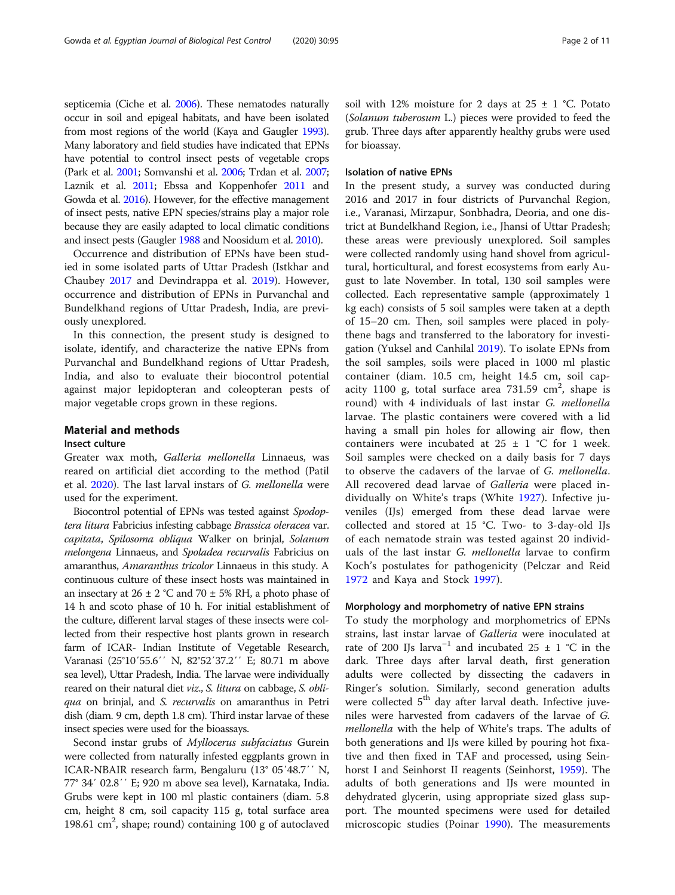septicemia (Ciche et al. [2006\)](#page-9-0). These nematodes naturally occur in soil and epigeal habitats, and have been isolated from most regions of the world (Kaya and Gaugler [1993](#page-9-0)). Many laboratory and field studies have indicated that EPNs have potential to control insect pests of vegetable crops (Park et al. [2001;](#page-9-0) Somvanshi et al. [2006](#page-9-0); Trdan et al. [2007](#page-9-0); Laznik et al. [2011](#page-9-0); Ebssa and Koppenhofer [2011](#page-9-0) and Gowda et al. [2016\)](#page-9-0). However, for the effective management of insect pests, native EPN species/strains play a major role because they are easily adapted to local climatic conditions and insect pests (Gaugler [1988](#page-9-0) and Noosidum et al. [2010](#page-9-0)).

Occurrence and distribution of EPNs have been studied in some isolated parts of Uttar Pradesh (Istkhar and Chaubey [2017](#page-9-0) and Devindrappa et al. [2019](#page-9-0)). However, occurrence and distribution of EPNs in Purvanchal and Bundelkhand regions of Uttar Pradesh, India, are previously unexplored.

In this connection, the present study is designed to isolate, identify, and characterize the native EPNs from Purvanchal and Bundelkhand regions of Uttar Pradesh, India, and also to evaluate their biocontrol potential against major lepidopteran and coleopteran pests of major vegetable crops grown in these regions.

#### Material and methods

#### Insect culture

Greater wax moth, Galleria mellonella Linnaeus, was reared on artificial diet according to the method (Patil et al. [2020\)](#page-9-0). The last larval instars of G. mellonella were used for the experiment.

Biocontrol potential of EPNs was tested against Spodoptera litura Fabricius infesting cabbage Brassica oleracea var. capitata, Spilosoma obliqua Walker on brinjal, Solanum melongena Linnaeus, and Spoladea recurvalis Fabricius on amaranthus, Amaranthus tricolor Linnaeus in this study. A continuous culture of these insect hosts was maintained in an insectary at  $26 \pm 2$  °C and  $70 \pm 5$ % RH, a photo phase of 14 h and scoto phase of 10 h. For initial establishment of the culture, different larval stages of these insects were collected from their respective host plants grown in research farm of ICAR- Indian Institute of Vegetable Research, Varanasi (25°10′55.6′′ N, 82°52′37.2′′ E; 80.71 m above sea level), Uttar Pradesh, India. The larvae were individually reared on their natural diet *viz.*, *S. litura* on cabbage, *S. obli*qua on brinjal, and *S. recurvalis* on amaranthus in Petri dish (diam. 9 cm, depth 1.8 cm). Third instar larvae of these insect species were used for the bioassays.

Second instar grubs of Myllocerus subfaciatus Gurein were collected from naturally infested eggplants grown in ICAR-NBAIR research farm, Bengaluru (13° 05′48.7′′ N, 77° 34′ 02.8′′ E; 920 m above sea level), Karnataka, India. Grubs were kept in 100 ml plastic containers (diam. 5.8 cm, height 8 cm, soil capacity 115 g, total surface area 198.61 cm<sup>2</sup>, shape; round) containing 100 g of autoclaved

soil with 12% moisture for 2 days at  $25 \pm 1$  °C. Potato (Solanum tuberosum L.) pieces were provided to feed the grub. Three days after apparently healthy grubs were used for bioassay.

#### Isolation of native EPNs

In the present study, a survey was conducted during 2016 and 2017 in four districts of Purvanchal Region, i.e., Varanasi, Mirzapur, Sonbhadra, Deoria, and one district at Bundelkhand Region, i.e., Jhansi of Uttar Pradesh; these areas were previously unexplored. Soil samples were collected randomly using hand shovel from agricultural, horticultural, and forest ecosystems from early August to late November. In total, 130 soil samples were collected. Each representative sample (approximately 1 kg each) consists of 5 soil samples were taken at a depth of 15–20 cm. Then, soil samples were placed in polythene bags and transferred to the laboratory for investigation (Yuksel and Canhilal [2019](#page-10-0)). To isolate EPNs from the soil samples, soils were placed in 1000 ml plastic container (diam. 10.5 cm, height 14.5 cm, soil capacity 1100 g, total surface area  $731.59 \text{ cm}^2$ , shape is round) with 4 individuals of last instar G. mellonella larvae. The plastic containers were covered with a lid having a small pin holes for allowing air flow, then containers were incubated at  $25 \pm 1$  °C for 1 week. Soil samples were checked on a daily basis for 7 days to observe the cadavers of the larvae of G. mellonella. All recovered dead larvae of Galleria were placed individually on White's traps (White [1927\)](#page-10-0). Infective juveniles (IJs) emerged from these dead larvae were collected and stored at 15 °C. Two- to 3-day-old IJs of each nematode strain was tested against 20 individuals of the last instar G. mellonella larvae to confirm Koch's postulates for pathogenicity (Pelczar and Reid [1972](#page-9-0) and Kaya and Stock [1997](#page-9-0)).

#### Morphology and morphometry of native EPN strains

To study the morphology and morphometrics of EPNs strains, last instar larvae of Galleria were inoculated at rate of 200 IJs larva<sup>-1</sup> and incubated 25  $\pm$  1 °C in the dark. Three days after larval death, first generation adults were collected by dissecting the cadavers in Ringer's solution. Similarly, second generation adults were collected  $5<sup>th</sup>$  day after larval death. Infective juveniles were harvested from cadavers of the larvae of G. mellonella with the help of White's traps. The adults of both generations and IJs were killed by pouring hot fixative and then fixed in TAF and processed, using Seinhorst I and Seinhorst II reagents (Seinhorst, [1959](#page-9-0)). The adults of both generations and IJs were mounted in dehydrated glycerin, using appropriate sized glass support. The mounted specimens were used for detailed microscopic studies (Poinar [1990](#page-9-0)). The measurements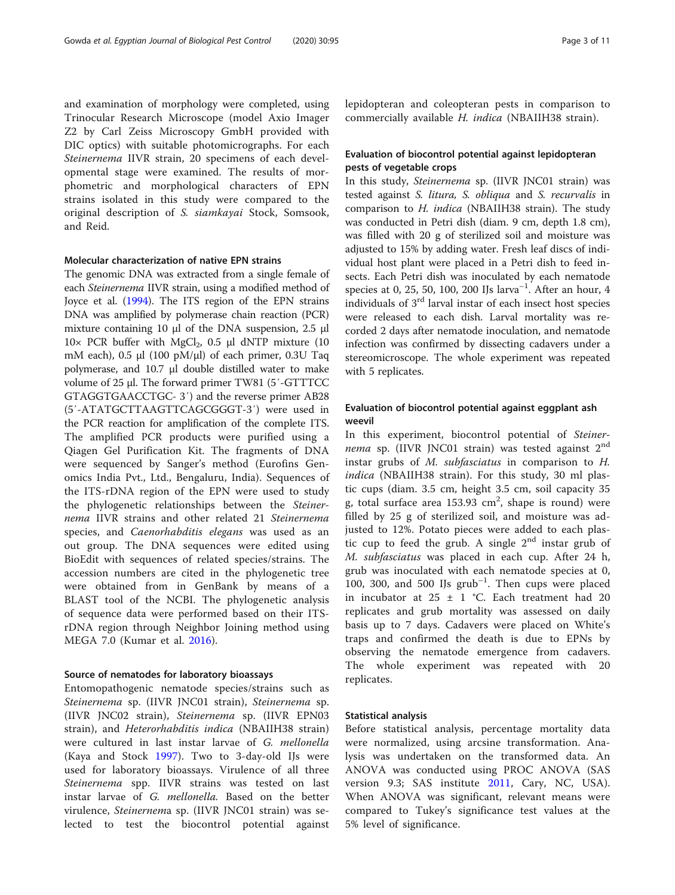and examination of morphology were completed, using Trinocular Research Microscope (model Axio Imager Z2 by Carl Zeiss Microscopy GmbH provided with DIC optics) with suitable photomicrographs. For each Steinernema IIVR strain, 20 specimens of each developmental stage were examined. The results of morphometric and morphological characters of EPN strains isolated in this study were compared to the original description of S. siamkayai Stock, Somsook, and Reid.

#### Molecular characterization of native EPN strains

The genomic DNA was extracted from a single female of each Steinernema IIVR strain, using a modified method of Joyce et al. [\(1994\)](#page-9-0). The ITS region of the EPN strains DNA was amplified by polymerase chain reaction (PCR) mixture containing 10 μl of the DNA suspension, 2.5 μl  $10\times$  PCR buffer with MgCl<sub>2</sub>, 0.5 μl dNTP mixture (10 mM each), 0.5 μl (100 pM/μl) of each primer, 0.3U Taq polymerase, and 10.7 μl double distilled water to make volume of 25 μl. The forward primer TW81 (5′-GTTTCC GTAGGTGAACCTGC- 3′) and the reverse primer AB28 (5′-ATATGCTTAAGTTCAGCGGGT-3′) were used in the PCR reaction for amplification of the complete ITS. The amplified PCR products were purified using a Qiagen Gel Purification Kit. The fragments of DNA were sequenced by Sanger's method (Eurofins Genomics India Pvt., Ltd., Bengaluru, India). Sequences of the ITS-rDNA region of the EPN were used to study the phylogenetic relationships between the Steinernema IIVR strains and other related 21 Steinernema species, and Caenorhabditis elegans was used as an out group. The DNA sequences were edited using BioEdit with sequences of related species/strains. The accession numbers are cited in the phylogenetic tree were obtained from in GenBank by means of a BLAST tool of the NCBI. The phylogenetic analysis of sequence data were performed based on their ITSrDNA region through Neighbor Joining method using MEGA 7.0 (Kumar et al. [2016\)](#page-9-0).

#### Source of nematodes for laboratory bioassays

Entomopathogenic nematode species/strains such as Steinernema sp. (IIVR JNC01 strain), Steinernema sp. (IIVR JNC02 strain), Steinernema sp. (IIVR EPN03 strain), and Heterorhabditis indica (NBAIIH38 strain) were cultured in last instar larvae of G. mellonella (Kaya and Stock [1997\)](#page-9-0). Two to 3-day-old IJs were used for laboratory bioassays. Virulence of all three Steinernema spp. IIVR strains was tested on last instar larvae of G. mellonella. Based on the better virulence, Steinernema sp. (IIVR JNC01 strain) was selected to test the biocontrol potential against lepidopteran and coleopteran pests in comparison to commercially available H. indica (NBAIIH38 strain).

### Evaluation of biocontrol potential against lepidopteran pests of vegetable crops

In this study, Steinernema sp. (IIVR JNC01 strain) was tested against S. litura, S. obliqua and S. recurvalis in comparison to H. indica (NBAIIH38 strain). The study was conducted in Petri dish (diam. 9 cm, depth 1.8 cm), was filled with 20 g of sterilized soil and moisture was adjusted to 15% by adding water. Fresh leaf discs of individual host plant were placed in a Petri dish to feed insects. Each Petri dish was inoculated by each nematode species at 0, 25, 50, 100, 200 IJs  $arva^{-1}$ . After an hour, 4 individuals of 3rd larval instar of each insect host species were released to each dish. Larval mortality was recorded 2 days after nematode inoculation, and nematode infection was confirmed by dissecting cadavers under a stereomicroscope. The whole experiment was repeated with 5 replicates.

#### Evaluation of biocontrol potential against eggplant ash weevil

In this experiment, biocontrol potential of Steinernema sp. (IIVR JNC01 strain) was tested against  $2^{nd}$ instar grubs of M. subfasciatus in comparison to H. indica (NBAIIH38 strain). For this study, 30 ml plastic cups (diam. 3.5 cm, height 3.5 cm, soil capacity 35 g, total surface area  $153.93 \text{ cm}^2$ , shape is round) were filled by 25 g of sterilized soil, and moisture was adjusted to 12%. Potato pieces were added to each plastic cup to feed the grub. A single  $2<sup>nd</sup>$  instar grub of M. subfasciatus was placed in each cup. After 24 h, grub was inoculated with each nematode species at 0, 100, 300, and 500 IJs grub<sup>-1</sup>. Then cups were placed in incubator at  $25 \pm 1$  °C. Each treatment had 20 replicates and grub mortality was assessed on daily basis up to 7 days. Cadavers were placed on White's traps and confirmed the death is due to EPNs by observing the nematode emergence from cadavers. The whole experiment was repeated with 20 replicates.

#### Statistical analysis

Before statistical analysis, percentage mortality data were normalized, using arcsine transformation. Analysis was undertaken on the transformed data. An ANOVA was conducted using PROC ANOVA (SAS version 9.3; SAS institute [2011,](#page-9-0) Cary, NC, USA). When ANOVA was significant, relevant means were compared to Tukey's significance test values at the 5% level of significance.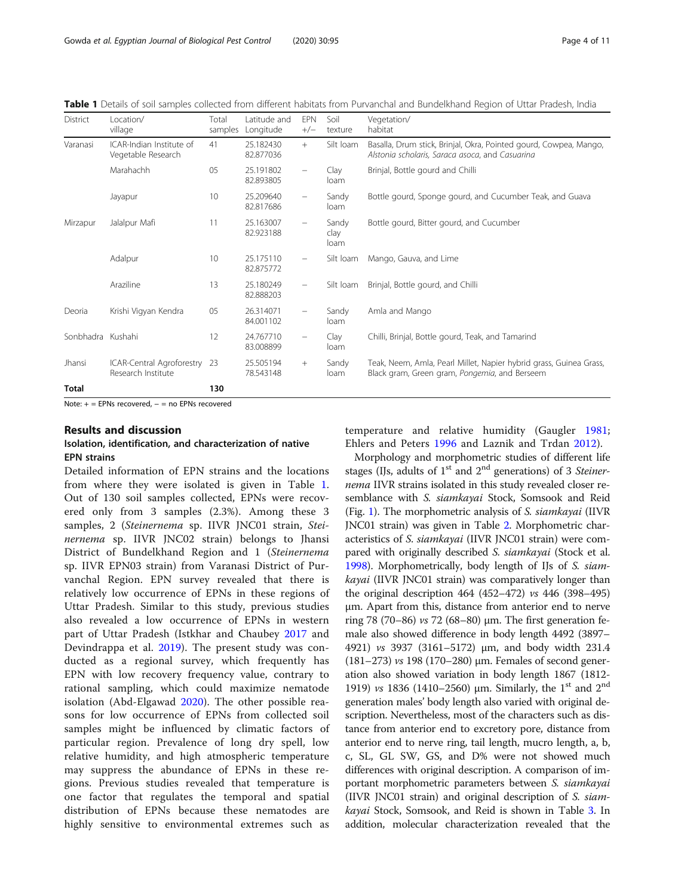Table 1 Details of soil samples collected from different habitats from Purvanchal and Bundelkhand Region of Uttar Pradesh, India

| District          | Location/<br>village                            | Total<br>samples | Latitude and<br>Longitude | <b>EPN</b><br>$+/-$      | Soil<br>texture       | Vegetation/<br>habitat                                                                                               |
|-------------------|-------------------------------------------------|------------------|---------------------------|--------------------------|-----------------------|----------------------------------------------------------------------------------------------------------------------|
| Varanasi          | ICAR-Indian Institute of<br>Vegetable Research  | 41               | 25.182430<br>82.877036    | $+$                      | Silt loam             | Basalla, Drum stick, Brinjal, Okra, Pointed gourd, Cowpea, Mango,<br>Alstonia scholaris, Saraca asoca, and Casuarina |
|                   | Marahachh                                       | 05               | 25.191802<br>82.893805    | $\overline{\phantom{0}}$ | Clay<br>loam          | Brinjal, Bottle gourd and Chilli                                                                                     |
|                   | Jayapur                                         | 10               | 25.209640<br>82.817686    | $\overline{\phantom{0}}$ | Sandy<br>loam         | Bottle gourd, Sponge gourd, and Cucumber Teak, and Guava                                                             |
| Mirzapur          | Jalalpur Mafi                                   | 11               | 25.163007<br>82.923188    | -                        | Sandy<br>clay<br>loam | Bottle gourd, Bitter gourd, and Cucumber                                                                             |
|                   | Adalpur                                         | 10               | 25.175110<br>82.875772    | -                        | Silt Ioam             | Mango, Gauva, and Lime                                                                                               |
|                   | Araziline                                       | 13               | 25.180249<br>82.888203    |                          | Silt Ioam             | Brinjal, Bottle gourd, and Chilli                                                                                    |
| Deoria            | Krishi Vigyan Kendra                            | 05               | 26.314071<br>84.001102    |                          | Sandy<br>loam         | Amla and Mango                                                                                                       |
| Sonbhadra Kushahi |                                                 | 12               | 24.767710<br>83.008899    | $\overline{\phantom{0}}$ | Clay<br>loam          | Chilli, Brinjal, Bottle gourd, Teak, and Tamarind                                                                    |
| Jhansi            | ICAR-Central Agroforestry<br>Research Institute | -23              | 25.505194<br>78.543148    | $^{+}$                   | Sandy<br>loam         | Teak, Neem, Amla, Pearl Millet, Napier hybrid grass, Guinea Grass,<br>Black gram, Green gram, Pongemia, and Berseem  |
| <b>Total</b>      |                                                 | 130              |                           |                          |                       |                                                                                                                      |

Note: + = EPNs recovered, - = no EPNs recovered

#### Results and discussion

### Isolation, identification, and characterization of native EPN strains

Detailed information of EPN strains and the locations from where they were isolated is given in Table 1. Out of 130 soil samples collected, EPNs were recovered only from 3 samples (2.3%). Among these 3 samples, 2 (Steinernema sp. IIVR JNC01 strain, Steinernema sp. IIVR JNC02 strain) belongs to Jhansi District of Bundelkhand Region and 1 (Steinernema sp. IIVR EPN03 strain) from Varanasi District of Purvanchal Region. EPN survey revealed that there is relatively low occurrence of EPNs in these regions of Uttar Pradesh. Similar to this study, previous studies also revealed a low occurrence of EPNs in western part of Uttar Pradesh (Istkhar and Chaubey [2017](#page-9-0) and Devindrappa et al. [2019\)](#page-9-0). The present study was conducted as a regional survey, which frequently has EPN with low recovery frequency value, contrary to rational sampling, which could maximize nematode isolation (Abd-Elgawad [2020\)](#page-9-0). The other possible reasons for low occurrence of EPNs from collected soil samples might be influenced by climatic factors of particular region. Prevalence of long dry spell, low relative humidity, and high atmospheric temperature may suppress the abundance of EPNs in these regions. Previous studies revealed that temperature is one factor that regulates the temporal and spatial distribution of EPNs because these nematodes are highly sensitive to environmental extremes such as

temperature and relative humidity (Gaugler [1981](#page-9-0); Ehlers and Peters [1996](#page-9-0) and Laznik and Trdan [2012\)](#page-9-0).

Morphology and morphometric studies of different life stages (IJs, adults of  $1<sup>st</sup>$  and  $2<sup>nd</sup>$  generations) of 3 Steinernema IIVR strains isolated in this study revealed closer resemblance with S. siamkayai Stock, Somsook and Reid (Fig. [1\)](#page-4-0). The morphometric analysis of S. siamkayai (IIVR JNC01 strain) was given in Table [2](#page-4-0). Morphometric characteristics of S. siamkayai (IIVR JNC01 strain) were compared with originally described S. siamkayai (Stock et al. [1998](#page-9-0)). Morphometrically, body length of IJs of S. siamkayai (IIVR JNC01 strain) was comparatively longer than the original description 464 (452–472) vs 446 (398–495) μm. Apart from this, distance from anterior end to nerve ring 78 (70–86) *vs* 72 (68–80)  $\mu$ m. The first generation female also showed difference in body length 4492 (3897– 4921) vs 3937 (3161–5172) μm, and body width 231.4 (181–273) vs 198 (170–280) μm. Females of second generation also showed variation in body length 1867 (1812- 1919) *vs* 1836 (1410–2560) μm. Similarly, the 1<sup>st</sup> and 2<sup>nd</sup> generation males' body length also varied with original description. Nevertheless, most of the characters such as distance from anterior end to excretory pore, distance from anterior end to nerve ring, tail length, mucro length, a, b, c, SL, GL SW, GS, and D% were not showed much differences with original description. A comparison of important morphometric parameters between S. siamkayai (IIVR JNC01 strain) and original description of S. siamkayai Stock, Somsook, and Reid is shown in Table [3](#page-5-0). In addition, molecular characterization revealed that the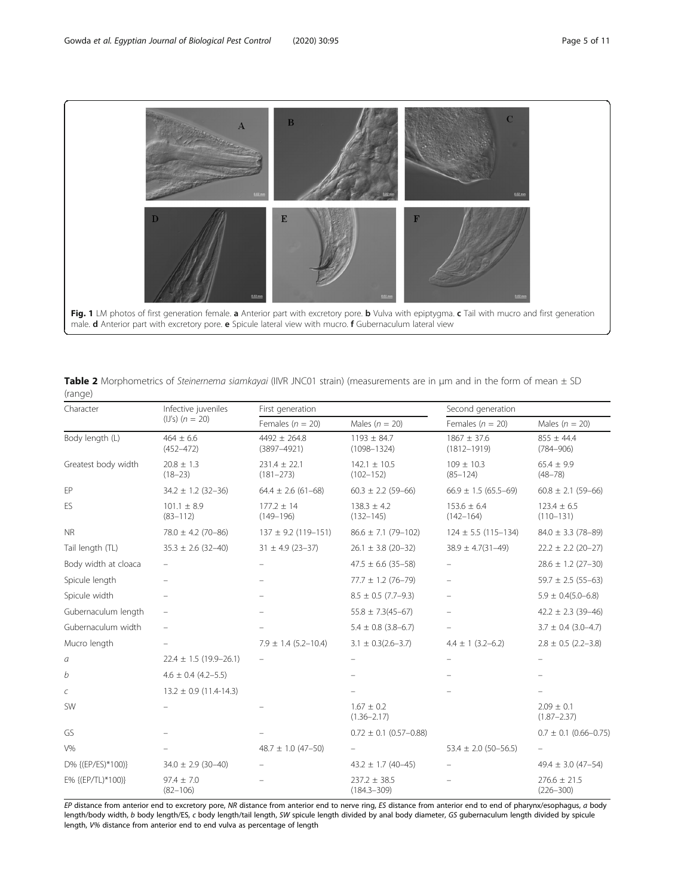<span id="page-4-0"></span>

Table 2 Morphometrics of Steinernema siamkayai (IIVR JNC01 strain) (measurements are in µm and in the form of mean  $\pm$  SD (range)

| Character            | Infective juveniles             | First generation                    |                                     | Second generation                  |                                   |  |
|----------------------|---------------------------------|-------------------------------------|-------------------------------------|------------------------------------|-----------------------------------|--|
|                      | $(IJ's)$ $(n = 20)$             | Females ( $n = 20$ )                | Males ( $n = 20$ )                  | Females ( $n = 20$ )               | Males ( $n = 20$ )                |  |
| Body length (L)      | $464 \pm 6.6$<br>$(452 - 472)$  | $4492 \pm 264.8$<br>$(3897 - 4921)$ | $1193 \pm 84.7$<br>$(1098 - 1324)$  | $1867 \pm 37.6$<br>$(1812 - 1919)$ | $855 \pm 44.4$<br>$(784 - 906)$   |  |
| Greatest body width  | $20.8 \pm 1.3$<br>$(18 - 23)$   | $231.4 \pm 22.1$<br>$(181 - 273)$   | $142.1 \pm 10.5$<br>$(102 - 152)$   | $109 \pm 10.3$<br>$(85 - 124)$     | $65.4 \pm 9.9$<br>$(48 - 78)$     |  |
| EP                   | $34.2 \pm 1.2$ (32-36)          | $64.4 \pm 2.6$ (61-68)              | $60.3 \pm 2.2$ (59-66)              | $66.9 \pm 1.5 (65.5 - 69)$         | $60.8 \pm 2.1$ (59-66)            |  |
| ES                   | $101.1 \pm 8.9$<br>$(83 - 112)$ | $177.2 \pm 14$<br>$(149 - 196)$     | $138.3 \pm 4.2$<br>$(132 - 145)$    | $153.6 \pm 6.4$<br>$(142 - 164)$   | $123.4 \pm 6.5$<br>$(110 - 131)$  |  |
| <b>NR</b>            | $78.0 \pm 4.2$ (70-86)          | $137 \pm 9.2$ (119-151)             | $86.6 \pm 7.1$ (79-102)             | $124 \pm 5.5$ (115-134)            | $84.0 \pm 3.3$ (78-89)            |  |
| Tail length (TL)     | $35.3 \pm 2.6$ (32-40)          | $31 \pm 4.9$ (23-37)                | $26.1 \pm 3.8$ (20-32)              | $38.9 \pm 4.7(31 - 49)$            | $22.2 \pm 2.2$ (20-27)            |  |
| Body width at cloaca |                                 |                                     | $47.5 \pm 6.6$ (35-58)              |                                    | $28.6 \pm 1.2$ (27-30)            |  |
| Spicule length       |                                 |                                     | $77.7 \pm 1.2$ (76-79)              |                                    | $59.7 \pm 2.5$ (55-63)            |  |
| Spicule width        |                                 |                                     | $8.5 \pm 0.5$ (7.7-9.3)             |                                    | $5.9 \pm 0.4(5.0 - 6.8)$          |  |
| Gubernaculum length  | $\equiv$                        |                                     | $55.8 \pm 7.3(45 - 67)$             |                                    | $42.2 \pm 2.3$ (39-46)            |  |
| Gubernaculum width   | ÷                               |                                     | $5.4 \pm 0.8$ (3.8-6.7)             | $\equiv$                           | $3.7 \pm 0.4$ (3.0-4.7)           |  |
| Mucro length         |                                 | $7.9 \pm 1.4$ (5.2-10.4)            | $3.1 \pm 0.3(2.6 - 3.7)$            | $4.4 \pm 1 (3.2 - 6.2)$            | $2.8 \pm 0.5$ (2.2-3.8)           |  |
| $\it{a}$             | $22.4 \pm 1.5$ (19.9-26.1)      |                                     |                                     |                                    |                                   |  |
| b                    | $4.6 \pm 0.4$ (4.2-5.5)         |                                     |                                     |                                    |                                   |  |
| С                    | $13.2 \pm 0.9$ (11.4-14.3)      |                                     |                                     |                                    |                                   |  |
| SW                   |                                 |                                     | $1.67 \pm 0.2$<br>$(1.36 - 2.17)$   |                                    | $2.09 \pm 0.1$<br>$(1.87 - 2.37)$ |  |
| GS                   |                                 |                                     | $0.72 \pm 0.1$ (0.57-0.88)          |                                    | $0.7 \pm 0.1$ (0.66-0.75)         |  |
| $V\%$                |                                 | $48.7 \pm 1.0$ (47-50)              |                                     | $53.4 \pm 2.0$ (50-56.5)           |                                   |  |
| D% {(EP/ES)*100)}    | $34.0 \pm 2.9$ (30-40)          | -                                   | $43.2 \pm 1.7$ (40-45)              |                                    | $49.4 \pm 3.0$ (47-54)            |  |
| E% {(EP/TL)*100)}    | $97.4 \pm 7.0$<br>$(82 - 106)$  |                                     | $237.2 \pm 38.5$<br>$(184.3 - 309)$ |                                    | $276.6 \pm 21.5$<br>$(226 - 300)$ |  |

EP distance from anterior end to excretory pore, NR distance from anterior end to nerve ring, ES distance from anterior end to end of pharynx/esophagus, a body length/body width, b body length/ES, c body length/tail length, SW spicule length divided by anal body diameter, GS gubernaculum length divided by spicule length, V% distance from anterior end to end vulva as percentage of length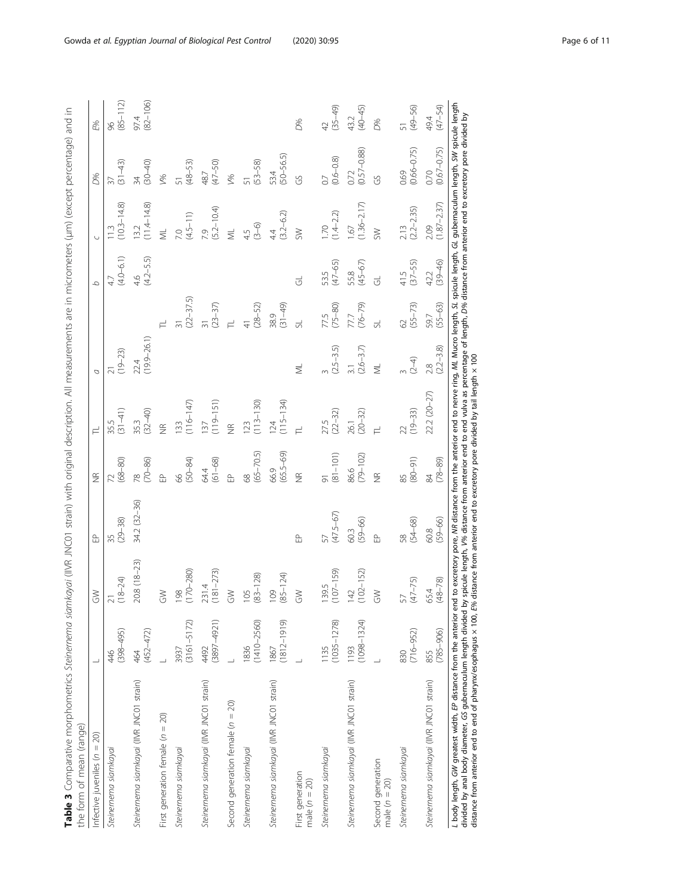| ì                                                                                            |               |
|----------------------------------------------------------------------------------------------|---------------|
| $\frac{1}{2}$<br>l<br>ļ                                                                      |               |
| ١<br>$\mathfrak{c}$                                                                          |               |
| ACAMANT NAMANTANG.<br>١<br>ì                                                                 |               |
| į                                                                                            |               |
|                                                                                              |               |
| )<br>)<br>)                                                                                  |               |
|                                                                                              |               |
| ž                                                                                            |               |
| j                                                                                            |               |
| į<br>ć                                                                                       |               |
|                                                                                              |               |
| ׇ֚֚֬<br>imite are in micromatare (limi                                                       |               |
| ĺ                                                                                            |               |
| ١                                                                                            |               |
| j<br>;<br>j                                                                                  |               |
|                                                                                              |               |
|                                                                                              |               |
|                                                                                              |               |
|                                                                                              |               |
|                                                                                              |               |
|                                                                                              |               |
| ١                                                                                            |               |
|                                                                                              |               |
| į<br>$\frac{1}{2}$<br>l                                                                      |               |
| l                                                                                            |               |
| $\overline{\phantom{a}}$<br>J<br>٢                                                           |               |
| i<br>j<br>j                                                                                  |               |
| Ï                                                                                            |               |
| °EUN ∥∏                                                                                      |               |
|                                                                                              |               |
| s<br>C                                                                                       |               |
|                                                                                              |               |
| i                                                                                            |               |
| i<br>)<br>)                                                                                  |               |
| I<br>ī<br>j                                                                                  |               |
|                                                                                              |               |
| Ž<br>ł<br>!                                                                                  |               |
| j<br>j<br>j                                                                                  |               |
| $\overline{a}$                                                                               |               |
| $\overline{a}$                                                                               |               |
| $\frac{1}{2}$                                                                                |               |
|                                                                                              |               |
|                                                                                              |               |
| l                                                                                            |               |
| ļ<br>j<br>Ï                                                                                  |               |
|                                                                                              |               |
|                                                                                              |               |
| J                                                                                            |               |
|                                                                                              |               |
| ١                                                                                            |               |
|                                                                                              |               |
| l<br>Š                                                                                       |               |
| ć<br>֧ׅ֧֧ׅ֧֧֧ׅ֧֧ׅ֧֧ׅ֧֧֧֧֧ׅ֧֧֚֚֚֚֚֚֚֚֚֚֚֚֚֚֚֚֚֚֚֚֚֚֚֚֚֚֚֚֚֚֚֝֡֡֡֡֡֡֡֬֝֬֝֓֜֓֝֬֝֬֜֝֬֜֝֬֜֝֬֝֬֜֝֬ |               |
| ì                                                                                            |               |
| S<br>֚֬֕                                                                                     |               |
| č<br>ĵ                                                                                       |               |
|                                                                                              |               |
| l                                                                                            |               |
| Ì<br>١                                                                                       |               |
| ļ                                                                                            |               |
|                                                                                              |               |
|                                                                                              |               |
|                                                                                              |               |
|                                                                                              |               |
| $5 - 2 = 5$                                                                                  |               |
|                                                                                              |               |
|                                                                                              | Ï<br>j        |
|                                                                                              | ļ<br>i        |
|                                                                                              | Ç             |
|                                                                                              | $\frac{1}{2}$ |
| i                                                                                            |               |
|                                                                                              | i             |
| ١                                                                                            |               |
|                                                                                              |               |
|                                                                                              |               |
|                                                                                              |               |
| いりょう                                                                                         | ミー・ヘー<br>l    |

<span id="page-5-0"></span>

| Infective juveniles ( $n = 20$ )          |                         | $\lesssim$                | 웁                             | $\frac{\alpha}{2}$           |                               | a                               |                          | $\mathcal{Q}$       |                                                    | 0%                            | E%                   |
|-------------------------------------------|-------------------------|---------------------------|-------------------------------|------------------------------|-------------------------------|---------------------------------|--------------------------|---------------------|----------------------------------------------------|-------------------------------|----------------------|
| Steinernema siamkayai                     | $(398 - 495)$<br>46     | $(8 - 24)$<br>$\sim$      | $(29 - 38)$<br>35             | $72$<br>(68-80)              | $35.5$<br>(31-41)             | $^{21}_{(19-23)}$               |                          | $4.7$<br>(4.0–6.1)  | $\begin{array}{c} 11.3 \\ (10.3-14.8) \end{array}$ | $\frac{37}{(31-43)}$          | $(85 - 112)$<br>96   |
| Steinernema siamkayai (INR JNCO1 strain)  | $(452 - 472)$<br>464    | 20.8 (18-23)              | 34.2 (32-36)                  | $(70 - 86)$<br>$\frac{8}{2}$ | 35.3<br>(32–40)               | $(19.9 - 26.1)$<br>22.4         |                          | 4.6<br>(4.2–5.5)    | $\frac{13.2}{(11.4-14.8)}$                         | $(30 - 40)$<br>$\frac{34}{3}$ | $(82 - 106)$<br>97.4 |
| First generation female $(n = 20)$        |                         | $\geqslant$               |                               | .<br>옵                       | $rac{1}{2}$                   |                                 |                          |                     | $M_{\rm L}$                                        | V%                            |                      |
| Steinernema siamkayai                     | $(3161 - 5172)$<br>3937 | 198<br>170–280)           |                               | $(50 - 84)$<br>.<br>56       | $(116 - 147)$<br><b>133</b>   |                                 | $\frac{31}{(22 - 37.5)}$ |                     | $7.0$<br>(4.5-11)                                  | $\frac{51}{(48-53)}$          |                      |
| Steinernema siamkayai (INR JNCO1 strain)  | $(3897 - 4921)$<br>4492 | $231.4$<br>181-273)       |                               | 64.4<br>(61–68)              | 137<br>(119–151)              |                                 | 31<br>(23–37)<br>TL      |                     | 7.9<br>(5.2–10.4)                                  | 48.7<br>(47-50)               |                      |
| Second generation female $(n = 20)$       |                         | $\geq$                    |                               | .<br>이                       | $\widetilde{\Xi}$             |                                 |                          |                     | $M_{\rm L}$                                        | $V\%$                         |                      |
| Steinernema siamkayai                     | $(1410 - 2560)$<br>1836 | $\frac{105}{(83-128)}$    |                               | 68<br>(65–70.5)              | $123$<br>(113–130)            |                                 | $41$<br>(28-52)          |                     | $(3-6)$<br>4.5                                     | $(53 - 58)$<br>51             |                      |
| Steinernema siamkayai (INR JNCO1 strain)  | $(1812 - 1919)$<br>1867 | $109$<br>(85-124)         |                               | 66.9<br>(65.5–69)            | $124$<br>(115–134)            |                                 | $38.9$<br>$(31-49)$      |                     | $4.4$<br>(3.2–6.2)                                 | 53.4<br>(50–56.5)             |                      |
| First generation<br>male $(n = 20)$       |                         | $\geqslant$               | 웁                             | $rac{1}{2}$                  |                               | $\overline{\overline{z}}$       |                          | ಕ                   | SW                                                 | GS                            | <b>D%</b>            |
| Steinernema siamkayai                     | $(1035 - 1278)$<br>1135 | 139.5<br>107-159)         | 57<br>(47.5–67)               | $\frac{91}{(81-101)}$        | $27.5$<br>(22-32)             | $(2.5-3.5)$                     | 77.5<br>(75–80)          | 53.5<br>(47–65)     | $1.70$<br>$(1.4-2.2)$                              | $0.7$<br>(0.6–0.8)            | 42<br>(35–49)        |
| Steinernema siamkayai (IIVR JNCO1 strain) | $(1098 - 1324)$<br>1193 | $142$<br>$102-152$        | 60.3<br>(59-66)               | 86.6<br>(79–102)             | $26.1$<br>$(20-32)$           | $3.1$<br>(2.6–3.7)              | 77.7<br>(76–79)          | 55.8<br>(45–67)     | $1.67$<br>(1.36–2.17)                              | $0.72$<br>$(0.57 - 0.88)$     | 43.2<br>(40–45)      |
| Second generation<br>male $(n = 20)$      |                         | $\widetilde{\mathcal{E}}$ | .<br>EP                       | $\frac{\alpha}{2}$           |                               | $\overline{\mathbb{R}}$         |                          | $\vec{c}$           | SW                                                 | .<br>ကိ                       | <b>D%</b>            |
| Steinernema siamkayai                     | $(716 - 952)$<br>830    | $(47 - 75)$<br>57         | $(54 - 68)$<br>$\frac{8}{50}$ | $(16 - 08)$<br>85            | $(19 - 33)$<br>$\overline{2}$ | $rac{3}{(2-4)}$                 | $62$<br>(55-73)          | $41.5$<br>(37-55)   | $2.13$<br>(2.2–2.35)                               | $(0.66 - 0.75)$<br>0.69       | $(49 - 56)$<br>51    |
| Steinernema siamkayai (IIVR JNCO1 strain) | $(785 - 906)$<br>855    | $(48 - 78)$<br>65.4       | $(59 - 66)$<br>60.8           | $(78 - 89)$<br>84            | 22.2 (20-27)                  | $(2.2 - 3.8)$<br>$\frac{8}{28}$ | $(55 - 63)$<br>597       | $(39 - 46)$<br>42.2 | $(1.87 - 2.37)$<br>2.09                            | $(0.67 - 0.75)$<br>0.70       | 49.4<br>(47–54)      |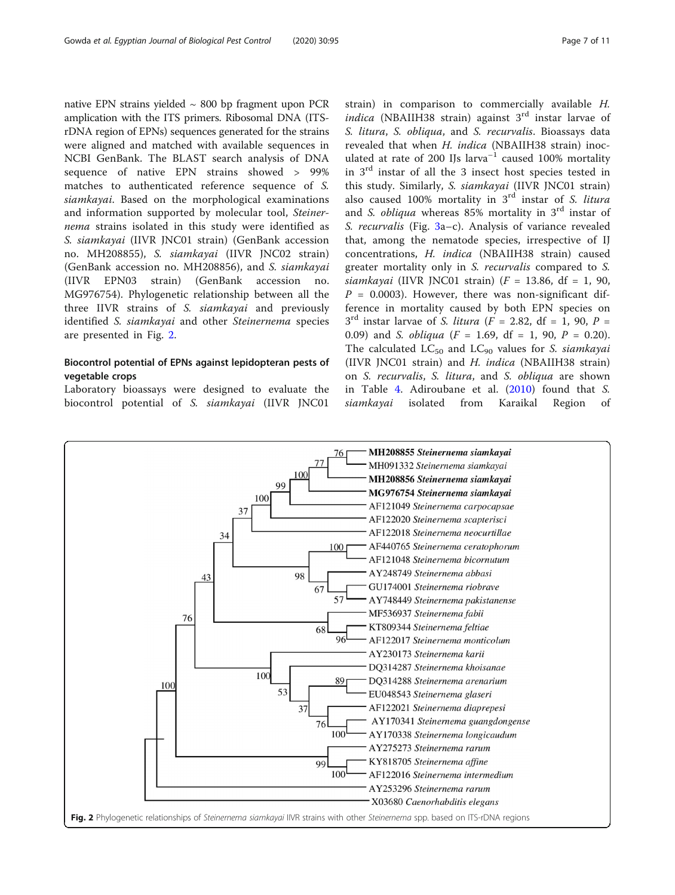native EPN strains yielded  $\sim$  800 bp fragment upon PCR amplication with the ITS primers. Ribosomal DNA (ITSrDNA region of EPNs) sequences generated for the strains were aligned and matched with available sequences in NCBI GenBank. The BLAST search analysis of DNA sequence of native EPN strains showed > 99% matches to authenticated reference sequence of S. siamkayai. Based on the morphological examinations and information supported by molecular tool, Steinernema strains isolated in this study were identified as S. siamkayai (IIVR JNC01 strain) (GenBank accession no. MH208855), S. siamkayai (IIVR JNC02 strain) (GenBank accession no. MH208856), and S. siamkayai (IIVR EPN03 strain) (GenBank accession no. MG976754). Phylogenetic relationship between all the three IIVR strains of S. siamkayai and previously identified S. siamkayai and other Steinernema species are presented in Fig. 2.

## Biocontrol potential of EPNs against lepidopteran pests of vegetable crops

Laboratory bioassays were designed to evaluate the biocontrol potential of S. siamkayai (IIVR JNC01

strain) in comparison to commercially available H. indica (NBAIIH38 strain) against  $3<sup>rd</sup>$  instar larvae of S. litura, S. obliqua, and S. recurvalis. Bioassays data revealed that when H. indica (NBAIIH38 strain) inoculated at rate of 200 IJs larva<sup>-1</sup> caused 100% mortality in 3rd instar of all the 3 insect host species tested in this study. Similarly, S. siamkayai (IIVR JNC01 strain) also caused 100% mortality in  $3<sup>rd</sup>$  instar of S. litura and S. obliqua whereas  $85\%$  mortality in  $3<sup>rd</sup>$  instar of S. recurvalis (Fig. [3a](#page-7-0)–c). Analysis of variance revealed that, among the nematode species, irrespective of IJ concentrations, H. indica (NBAIIH38 strain) caused greater mortality only in S. recurvalis compared to S. siamkayai (IIVR JNC01 strain)  $(F = 13.86, df = 1, 90,$  $P = 0.0003$ ). However, there was non-significant difference in mortality caused by both EPN species on  $3<sup>rd</sup>$  instar larvae of S. *litura* ( $F = 2.82$ , df = 1, 90, P = 0.09) and S. *obliqua* ( $F = 1.69$ , df = 1, 90,  $P = 0.20$ ). The calculated  $LC_{50}$  and  $LC_{90}$  values for S. siamkayai (IIVR JNC01 strain) and H. indica (NBAIIH38 strain) on S. recurvalis, S. litura, and S. obliqua are shown in Table [4](#page-8-0). Adiroubane et al. [\(2010](#page-9-0)) found that S. siamkayai isolated from Karaikal Region of

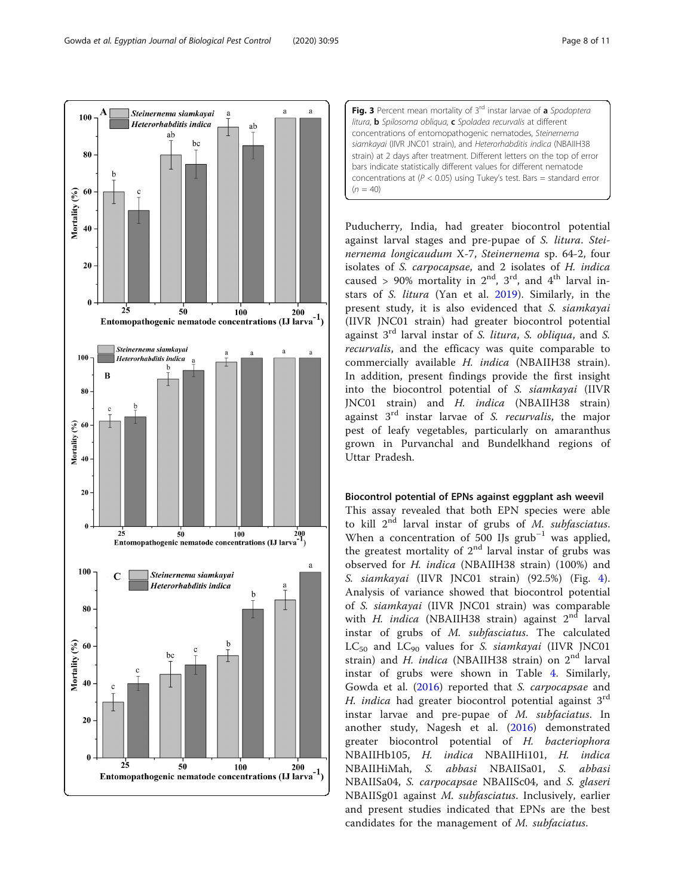<span id="page-7-0"></span>



Puducherry, India, had greater biocontrol potential against larval stages and pre-pupae of S. litura. Steinernema longicaudum X-7, Steinernema sp. 64-2, four isolates of S. carpocapsae, and 2 isolates of H. indica caused > 90% mortality in  $2<sup>nd</sup>$ ,  $3<sup>rd</sup>$ , and  $4<sup>th</sup>$  larval instars of S. litura (Yan et al. [2019\)](#page-10-0). Similarly, in the present study, it is also evidenced that S. siamkayai (IIVR JNC01 strain) had greater biocontrol potential against  $3<sup>rd</sup>$  larval instar of S. litura, S. obliqua, and S. recurvalis, and the efficacy was quite comparable to commercially available H. indica (NBAIIH38 strain). In addition, present findings provide the first insight into the biocontrol potential of S. siamkayai (IIVR JNC01 strain) and H. indica (NBAIIH38 strain) against  $3<sup>rd</sup>$  instar larvae of S. *recurvalis*, the major pest of leafy vegetables, particularly on amaranthus grown in Purvanchal and Bundelkhand regions of Uttar Pradesh.

#### Biocontrol potential of EPNs against eggplant ash weevil

This assay revealed that both EPN species were able to kill  $2^{nd}$  larval instar of grubs of M. subfasciatus. When a concentration of 500 IJs  $grub^{-1}$  was applied, the greatest mortality of  $2<sup>nd</sup>$  larval instar of grubs was observed for H. indica (NBAIIH38 strain) (100%) and S. siamkayai (IIVR JNC01 strain) (92.5%) (Fig. [4](#page-8-0)). Analysis of variance showed that biocontrol potential of S. siamkayai (IIVR JNC01 strain) was comparable with H. indica (NBAIIH38 strain) against  $2<sup>nd</sup>$  larval instar of grubs of M. subfasciatus. The calculated  $LC_{50}$  and  $LC_{90}$  values for S. siamkayai (IIVR JNC01 strain) and H. indica (NBAIIH38 strain) on  $2<sup>nd</sup>$  larval instar of grubs were shown in Table [4.](#page-8-0) Similarly, Gowda et al. ([2016\)](#page-9-0) reported that S. carpocapsae and H. *indica* had greater biocontrol potential against  $3<sup>rd</sup>$ instar larvae and pre-pupae of M. subfaciatus. In another study, Nagesh et al. ([2016\)](#page-9-0) demonstrated greater biocontrol potential of H. bacteriophora NBAIIHb105, H. indica NBAIIHi101, H. indica NBAIIHiMah, S. abbasi NBAIISa01, S. abbasi NBAIISa04, S. carpocapsae NBAIISc04, and S. glaseri NBAIISg01 against M. subfasciatus. Inclusively, earlier and present studies indicated that EPNs are the best candidates for the management of M. subfaciatus.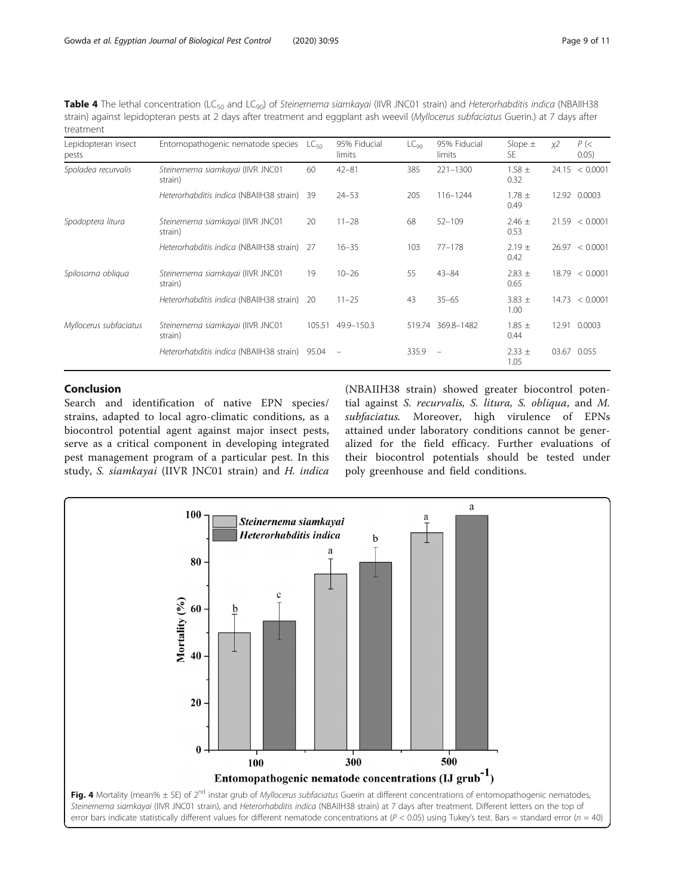<span id="page-8-0"></span>

| <b>Table 4</b> The lethal concentration (LC <sub>50</sub> and LC <sub>90</sub> ) of Steinernema siamkayai (IIVR JNC01 strain) and Heterorhabditis indica (NBAIIH38 |
|--------------------------------------------------------------------------------------------------------------------------------------------------------------------|
| strain) against lepidopteran pests at 2 days after treatment and eggplant ash weevil (Myllocerus subfaciatus Guerin.) at 7 days after                              |
| treatment                                                                                                                                                          |

| Lepidopteran insect<br>pests | Entomopathogenic nematode species            | $LC_{50}$ | 95% Fiducial<br>limits   | LC <sub>90</sub> | 95% Fiducial<br>limits   | Slope $\pm$<br>SE. | χ2    | $P$ (<<br>0.05) |
|------------------------------|----------------------------------------------|-----------|--------------------------|------------------|--------------------------|--------------------|-------|-----------------|
| Spoladea recurvalis          | Steinernema siamkayai (IIVR JNC01<br>strain) | 60        | $42 - 81$                | 385              | $221 - 1300$             | $1.58 \pm$<br>0.32 | 24.15 | < 0.0001        |
|                              | Heterorhabditis indica (NBAIIH38 strain)     | 39        | $24 - 53$                | 205              | 116-1244                 | $1.78 \pm$<br>0.49 | 12.92 | 0.0003          |
| Spodoptera litura            | Steinernema siamkayai (IIVR JNC01<br>strain) | 20        | $11 - 28$                | 68               | $52 - 109$               | $2.46 \pm$<br>0.53 |       | 21.59 < 0.0001  |
|                              | Heterorhabditis indica (NBAIIH38 strain)     | - 27      | $16 - 35$                | 103              | $77 - 178$               | $2.19 \pm$<br>0.42 |       | 26.97 < 0.0001  |
| Spilosoma obliqua            | Steinernema siamkayai (IIVR JNC01<br>strain) | 19        | $10 - 26$                | 55               | $43 - 84$                | $2.83 \pm$<br>0.65 | 18.79 | < 0.0001        |
|                              | Heterorhabditis indica (NBAIIH38 strain)     | -20       | $11 - 25$                | 43               | $35 - 65$                | $3.83 \pm$<br>1.00 | 14.73 | < 0.0001        |
| Myllocerus subfaciatus       | Steinernema siamkayai (IIVR JNC01<br>strain) | 105.51    | 49.9-150.3               | 519.74           | 369.8-1482               | $1.85 \pm$<br>0.44 | 12.91 | 0.0003          |
|                              | Heterorhabditis indica (NBAIIH38 strain)     | 95.04     | $\overline{\phantom{a}}$ | 335.9            | $\overline{\phantom{a}}$ | $2.33 \pm$<br>1.05 | 03.67 | 0.055           |

# Conclusion

Search and identification of native EPN species/ strains, adapted to local agro-climatic conditions, as a biocontrol potential agent against major insect pests, serve as a critical component in developing integrated pest management program of a particular pest. In this study, S. siamkayai (IIVR JNC01 strain) and H. indica

(NBAIIH38 strain) showed greater biocontrol potential against S. recurvalis, S. litura, S. obliqua, and M. subfaciatus. Moreover, high virulence of EPNs attained under laboratory conditions cannot be generalized for the field efficacy. Further evaluations of their biocontrol potentials should be tested under poly greenhouse and field conditions.

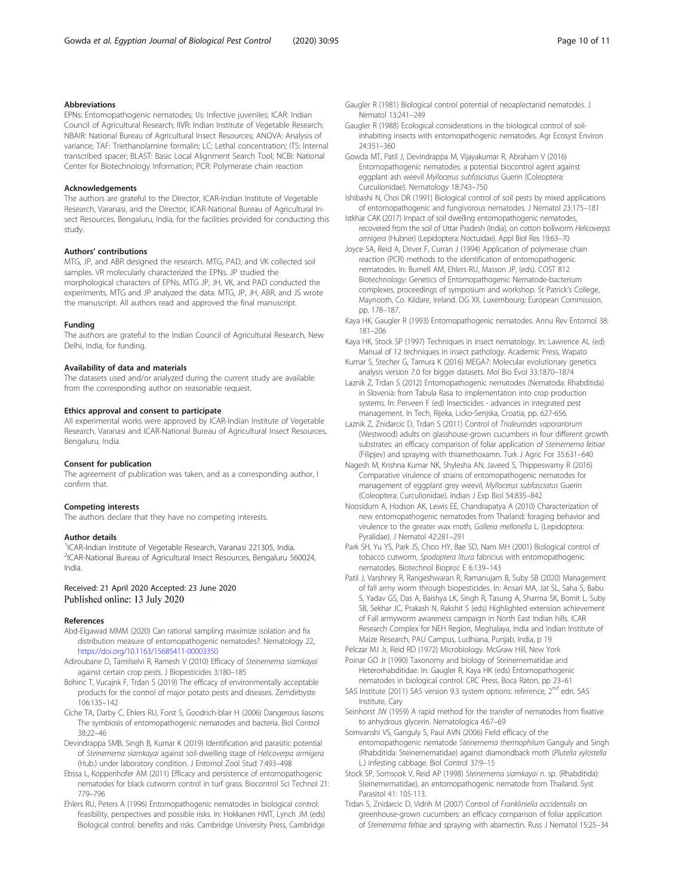#### <span id="page-9-0"></span>Abbreviations

EPNs: Entomopathogenic nematodes; IJs: Infective juveniles; ICAR: Indian Council of Agricultural Research; IIVR: Indian Institute of Vegetable Research; NBAIR: National Bureau of Agricultural Insect Resources; ANOVA: Analysis of variance; TAF: Triethanolamine formalin; LC: Lethal concentration; ITS: Internal transcribed spacer; BLAST: Basic Local Alignment Search Tool; NCBI: National Center for Biotechnology Information; PCR: Polymerase chain reaction

#### Acknowledgements

The authors are grateful to the Director, ICAR-Indian Institute of Vegetable Research, Varanasi, and the Director, ICAR-National Bureau of Agricultural Insect Resources, Bengaluru, India, for the facilities provided for conducting this study.

#### Authors' contributions

MTG, JP, and ABR designed the research. MTG, PAD, and VK collected soil samples. VR molecularly characterized the EPNs. JP studied the morphological characters of EPNs. MTG JP, JH, VK, and PAD conducted the experiments. MTG and JP analyzed the data. MTG, JP, JH, ABR, and JS wrote the manuscript. All authors read and approved the final manuscript.

#### Funding

The authors are grateful to the Indian Council of Agricultural Research, New Delhi, India, for funding.

#### Availability of data and materials

The datasets used and/or analyzed during the current study are available from the corresponding author on reasonable request.

#### Ethics approval and consent to participate

All experimental works were approved by ICAR-Indian Institute of Vegetable Research, Varanasi and ICAR-National Bureau of Agricultural Insect Resources, Bengaluru, India.

#### Consent for publication

The agreement of publication was taken, and as a corresponding author, I confirm that.

#### Competing interests

The authors declare that they have no competing interests.

#### Author details

<sup>1</sup>ICAR-Indian Institute of Vegetable Research, Varanasi 221305, India. 2 ICAR-National Bureau of Agricultural Insect Resources, Bengaluru 560024, India.

#### Received: 21 April 2020 Accepted: 23 June 2020 Published online: 13 July 2020

#### References

- Abd-Elgawad MMM (2020) Can rational sampling maximize isolation and fix distribution measure of entomopathogenic nematodes?. Nematology 22, <https://doi.org/10.1163/15685411-00003350>
- Adiroubane D, Tamilselvi R, Ramesh V (2010) Efficacy of Steinernema siamkayai against certain crop pests. J Biopesticides 3:180–185
- Bohinc T, Vucajnk F, Trdan S (2019) The efficacy of environmentally acceptable products for the control of major potato pests and diseases. Zemdirbyste 106:135–142
- Ciche TA, Darby C, Ehlers RU, Forst S, Goodrich-blair H (2006) Dangerous liasons: The symbiosis of entomopathogenic nematodes and bacteria. Biol Control 38:22–46
- Devindrappa SMB, Singh B, Kumar K (2019) Identification and parasitic potential of Steinernema siamkayai against soil-dwelling stage of Helicoverpa armigera (Hub.) under laboratory condition. J Entomol Zool Stud 7:493–498
- Ebssa L, Koppenhofer AM (2011) Efficacy and persistence of entomopathogenic nematodes for black cutworm control in turf grass. Biocontrol Sci Technol 21: 779–796
- Ehlers RU, Peters A (1996) Entomopathogenic nematodes in biological control: feasibility, perspectives and possible risks. In: Hokkanen HMT, Lynch JM (eds) Biological control: benefits and risks. Cambridge University Press, Cambridge
- Gaugler R (1981) Biological control potential of neoaplectanid nematodes. J Nematol 13:241–249
- Gaugler R (1988) Ecological considerations in the biological control of soilinhabiting insects with entomopathogenic nematodes. Agr Ecosyst Environ 24:351–360
- Gowda MT, Patil J, Devindrappa M, Vijayakumar R, Abraham V (2016) Entomopathogenic nematodes: a potential biocontrol agent against eggplant ash weevil Myllocerus subfasciatus Guerin (Coleoptera: Curculionidae). Nematology 18:743–750

Ishibashi N, Choi DR (1991) Biological control of soil pests by mixed applications of entomopathogenic and fungivorous nematodes. J Nematol 23:175–181

Istkhar CAK (2017) Impact of soil dwelling entomopathogenic nematodes, recovered from the soil of Uttar Pradesh (India), on cotton bollworm Helicoverpa armigera (Hubner) (Lepidoptera: Noctuidae). Appl Biol Res 19:63–70

Joyce SA, Reid A, Driver F, Curran J (1994) Application of polymerase chain reaction (PCR) methods to the identification of entomopathogenic nematodes. In: Burnell AM, Ehlers RU, Masson JP, (eds). COST 812 Biotechnology: Genetics of Entomopathogenic Nematode-bacterium complexes, proceedings of symposium and workshop. St Patrick's College, Maynooth, Co. Kildare, Ireland. DG XII, Luxembourg: European Commission, pp. 178–187.

- Kaya HK, Gaugler R (1993) Entomopathogenic nematodes. Annu Rev Entomol 38: 181–206
- Kaya HK, Stock SP (1997) Techniques in insect nematology. In: Lawrence AL (ed) Manual of 12 techniques in insect pathology. Academic Press, Wapato
- Kumar S, Stecher G, Tamura K (2016) MEGA7: Molecular evolutionary genetics analysis version 7.0 for bigger datasets. Mol Bio Evol 33:1870–1874
- Laznik Z, Trdan S (2012) Entomopathogenic nematodes (Nematoda: Rhabditida) in Slovenia: from Tabula Rasa to implementation into crop production systems. In: Perveen F (ed) Insecticides - advances in integrated pest management. In Tech, Rijeka, Licko-Senjska, Croatia, pp. 627-656.
- Laznik Z, Znidarcic D, Trdan S (2011) Control of Trialeurodes vaporariorum (Westwood) adults on glasshouse-grown cucumbers in four different growth substrates: an efficacy comparison of foliar application of Steinernema feltiae (Filipjev) and spraying with thiamethoxamn. Turk J Agric For 35:631–640
- Nagesh M, Krishna Kumar NK, Shylesha AN, Javeed S, Thippeswamy R (2016) Comparative virulence of strains of entomopathogenic nematodes for management of eggplant grey weevil, Myllocerus subfasciatus Guerin (Coleoptera: Curculionidae). Indian J Exp Biol 54:835–842
- Noosidum A, Hodson AK, Lewis EE, Chandrapatya A (2010) Characterization of new entomopathogenic nematodes from Thailand: foraging behavior and virulence to the greater wax moth, Galleria mellonella L. (Lepidoptera: Pyralidae). J Nematol 42:281–291
- Park SH, Yu YS, Park JS, Choo HY, Bae SD, Nam MH (2001) Biological control of tobacco cutworm, Spodoptera litura fabricius with entomopathogenic nematodes. Biotechnol Bioproc E 6:139–143
- Patil J, Varshney R, Rangeshwaran R, Ramanujam B, Suby SB (2020) Management of fall army worm through biopesticides. In: Ansari MA, Jat SL, Saha S, Babu S, Yadav GS, Das A, Baishya LK, Singh R, Tasung A, Sharma SK, Bomit L, Suby SB, Sekhar JC, Prakash N, Rakshit S (eds) Highlighted extension achievement of Fall armyworm awareness campaign in North East Indian hills. ICAR Research Complex for NEH Region, Meghalaya, India and Indian Institute of Maize Research, PAU Campus, Ludhiana, Punjab, India, p 19

Pelczar MJ Jr, Reid RD (1972) Microbiology. McGraw Hill, New York Poinar GO Jr (1990) Taxonomy and biology of Steinernematidae and Heterorhabditidae. In: Gaugler R, Kaya HK (eds) Entomopathogenic nematodes in biological control. CRC Press, Boca Raton, pp 23–61

- SAS Institute (2011) SAS version 9.3 system options: reference, 2<sup>nd</sup> edn. SAS Institute, Cary
- Seinhorst JW (1959) A rapid method for the transfer of nematodes from fixative to anhydrous glycerin. Nematologica 4:67–69
- Somvanshi VS, Ganguly S, Paul AVN (2006) Field efficacy of the entomopathogenic nematode Steinernema thermophilum Ganguly and Singh (Rhabditida: Steinernematidae) against diamondback moth (Plutella xylostella L.) infesting cabbage. Biol Control 37:9–15
- Stock SP, Somsook V, Reid AP (1998) Steinernema siamkayai n. sp. (Rhabditida): Steinernematidae), an entomopathogenic nematode from Thailand. Syst Parasitol 41: 105-113.
- Trdan S, Znidarcic D, Vidrih M (2007) Control of Frankliniella occidentalis on greenhouse-grown cucumbers: an efficacy comparison of foliar application of Steinernema feltiae and spraying with abamectin. Russ J Nematol 15:25–34